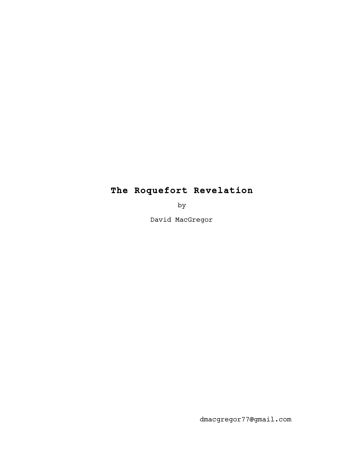## **The Roquefort Revelation**

by

David MacGregor

dmacgregor77@gmail.com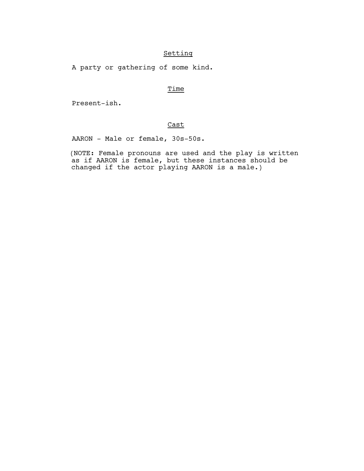## Setting

A party or gathering of some kind.

## **Time**

Present-ish.

## Cast

AARON - Male or female, 30s-50s.

 (NOTE: Female pronouns are used and the play is written as if AARON is female, but these instances should be changed if the actor playing AARON is a male.)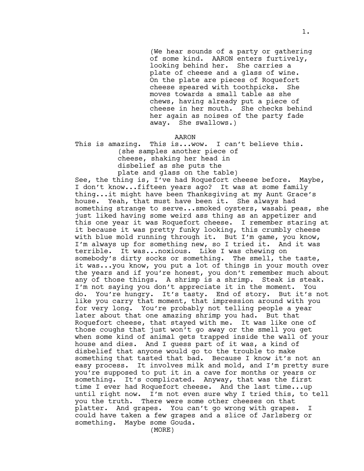(We hear sounds of a party or gathering of some kind. AARON enters furtively, looking behind her. She carries a plate of cheese and a glass of wine. On the plate are pieces of Roquefort cheese speared with toothpicks. She moves towards a small table as she chews, having already put a piece of cheese in her mouth. She checks behind her again as noises of the party fade away. She swallows.)

AARON

This is amazing. This is...wow. I can't believe this. (she samples another piece of cheese, shaking her head in disbelief as she puts the plate and glass on the table)

See, the thing is, I've had Roquefort cheese before. Maybe, I don't know...fifteen years ago? It was at some family thing...it might have been Thanksgiving at my Aunt Grace's house. Yeah, that must have been it. She always had something strange to serve...smoked oysters, wasabi peas, she just liked having some weird ass thing as an appetizer and this one year it was Roquefort cheese. I remember staring at it because it was pretty funky looking, this crumbly cheese with blue mold running through it. But I'm game, you know, I'm always up for something new, so I tried it. And it was terrible. It was...noxious. Like I was chewing on somebody's dirty socks or something. The smell, the taste, it was...you know, you put a lot of things in your mouth over the years and if you're honest, you don't remember much about any of those things. A shrimp is a shrimp. Steak is steak. I'm not saying you don't appreciate it in the moment. You do. You're hungry. It's tasty. End of story. But it's not like you carry that moment, that impression around with you for very long. You're probably not telling people a year later about that one amazing shrimp you had. But that Roquefort cheese, that stayed with me. It was like one of those coughs that just won't go away or the smell you get when some kind of animal gets trapped inside the wall of your house and dies. And I guess part of it was, a kind of disbelief that anyone would go to the trouble to make something that tasted that bad. Because I know it's not an easy process. It involves milk and mold, and I'm pretty sure you're supposed to put it in a cave for months or years or something. It's complicated. Anyway, that was the first time I ever had Roquefort cheese. And the last time...up until right now. I'm not even sure why I tried this, to tell you the truth. There were some other cheeses on that platter. And grapes. You can't go wrong with grapes. I could have taken a few grapes and a slice of Jarlsberg or something. Maybe some Gouda. (MORE)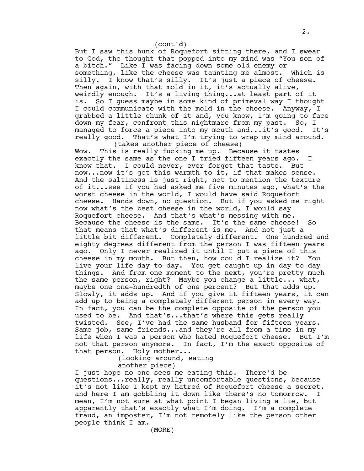But I saw this hunk of Roquefort sitting there, and I swear to God, the thought that popped into my mind was "You son of a bitch." Like I was facing down some old enemy or something, like the cheese was taunting me almost. Which is silly. I know that's silly. It's just a piece of cheese. Then again, with that mold in it, it's actually alive, weirdly enough. It's a living thing...at least part of it is. So I guess maybe in some kind of primeval way I thought I could communicate with the mold in the cheese. Anyway, I grabbed a little chunk of it and, you know, I'm going to face down my fear, confront this nightmare from my past. So, I managed to force a piece into my mouth and...it's good. It's really good. That's what I'm trying to wrap my mind around. (takes another piece of cheese) (cont'd)

Wow. This is really fucking me up. Because it tastes exactly the same as the one I tried fifteen years ago. I know that. I could never, ever forget that taste. But now...now it's got this warmth to it, if that makes sense. And the saltiness is just right, not to mention the texture of it...see if you had asked me five minutes ago, what's the worst cheese in the world, I would have said Roquefort cheese. Hands down, no question. But if you asked me right now what's the best cheese in the world, I would say Roquefort cheese. And that's what's messing with me. Because the cheese is the same. It's the same cheese! So that means that what's different is me. And not just a little bit different. Completely different. One hundred and eighty degrees different from the person I was fifteen years ago. Only I never realized it until I put a piece of this cheese in my mouth. But then, how could I realize it? You live your life day-to-day. You get caught up in day-to-day things. And from one moment to the next, you're pretty much the same person, right? Maybe you change a little... what, maybe one one-hundredth of one percent? But that adds up. Slowly, it adds up. And if you give it fifteen years, it can add up to being a completely different person in every way. In fact, you can be the complete opposite of the person you used to be. And that's...that's where this gets really twisted. See, I've had the same husband for fifteen years. Same job, same friends...and they're all from a time in my life when I was a person who hated Roquefort cheese. But I'm not that person anymore. In fact, I'm the exact opposite of that person. Holy mother...

> (looking around, eating another piece)

I just hope no one sees me eating this. There'd be questions...really, really uncomfortable questions, because it's not like I kept my hatred of Roquefort cheese a secret, and here I am gobbling it down like there's no tomorrow. I mean, I'm not sure at what point I began living a lie, but apparently that's exactly what I'm doing. I'm a complete fraud, an imposter, I'm not remotely like the person other people think I am.